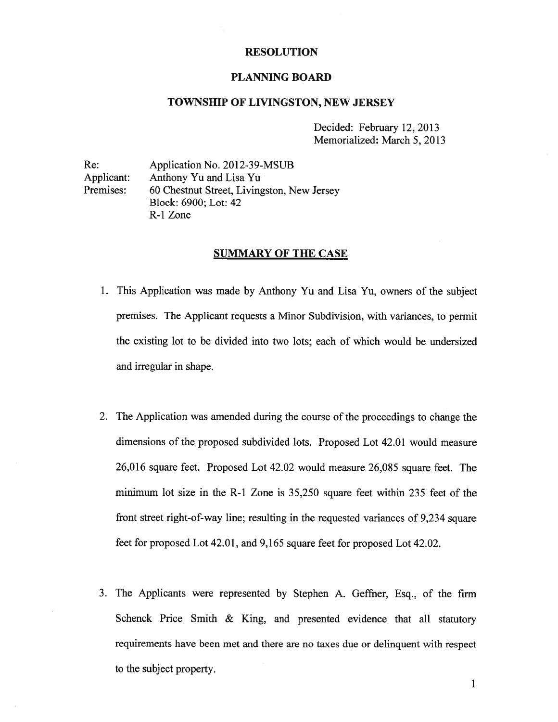### RESOLUTION

### PLANNING BOARD

## TOWNSHIP OF LIVINGSTON, NEW JERSEY

Decided: February 12, 2013 Memorialized: March 5, 2013

Re: Application No. 2012-39-MSUB Applicant: Anthony Yu and Lisa Yu Premises: 60 Chestnut Street, Livingston, New Jersey Block: 6900; Lot: 42 R-1 Zone

### SUMMARY OF THE CASE

- 1. This Application was made by Anthony Yu and Lisa Yu, owners of the subject premises. The Applicant requests <sup>a</sup> Minor Subdivision, with variances, to permit the existing lot to be divided into two lots; each of which would be undersized and irregular in shape.
- 2. The Application was amended during the course of the proceedings to change the dimensions of the proposed subdivided lots. Proposed Lot 42.01 would measure 26,016 square feet. Proposed Lot 42.02 would measure 26,085 square feet. The minimum lot size in the R-1 Zone is 35,250 square feet within 235 feet of the front street right-of-way line; resulting in the requested variances of 9,234 square feet for proposed Lot 42.01, and 9,165 square feet for proposed Lot 42.02.
- 3. The Applicants were represented by Stephen A. Geffner, Esq., of the firm Schenck Price Smith & King, and presented evidence that all statutory requirements have been met and there are no taxes due or delinquent with respec<sup>t</sup> to the subject property.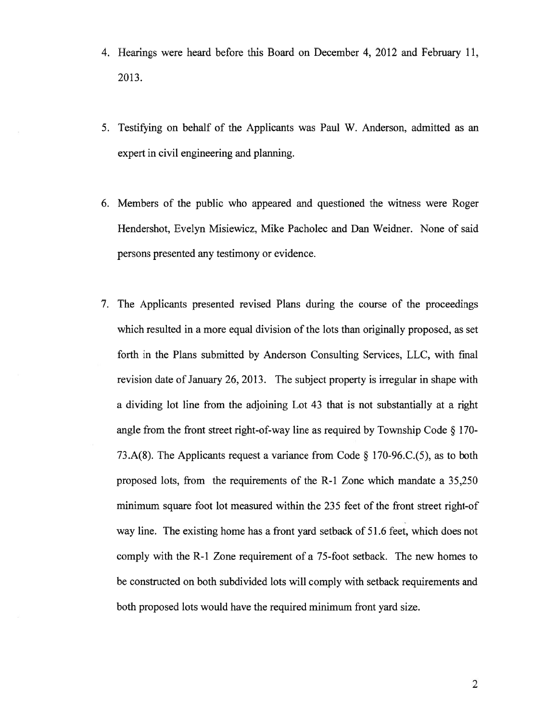- 4. Hearings were heard before this Board on December 4, 2012 and February 11, 2013.
- 5. Testifying on behalf of the Applicants was Paul W. Anderson, admitted as an exper<sup>t</sup> in civil engineering and planning.
- 6. Members of the public who appeared and questioned the witness were Roger Hendershot, Evelyn Misiewicz, Mike Pacholec and Dan Weidner. None of said persons presented any testimony or evidence.
- 7. The Applicants presented revised Plans during the course of the proceedings which resulted in a more equal division of the lots than originally proposed, as set forth in the Plans submitted by Anderson Consulting Services, LLC, with final revision date of January 26, 2013. The subject property is irregular in shape with <sup>a</sup> dividing lot line from the adjoining Lot 43 that is not substantially at <sup>a</sup> right angle from the front street right-of-way line as required by Township Code § 170- 73.A(8). The Applicants reques<sup>t</sup> <sup>a</sup> variance from Code § 170-96.C.(5), as to both proposed lots, from the requirements of the R-l Zone which mandate <sup>a</sup> 35,250 minimum square foot lot measured within the 235 feet of the front street right-of way line. The existing home has <sup>a</sup> front yard setback of 51.6 feet, which does not comply with the R-1 Zone requirement of <sup>a</sup> 75-foot setback. The new homes to be constructed on both subdivided lots will comply with setback requirements and both proposed lots would have the required minimum front yard size.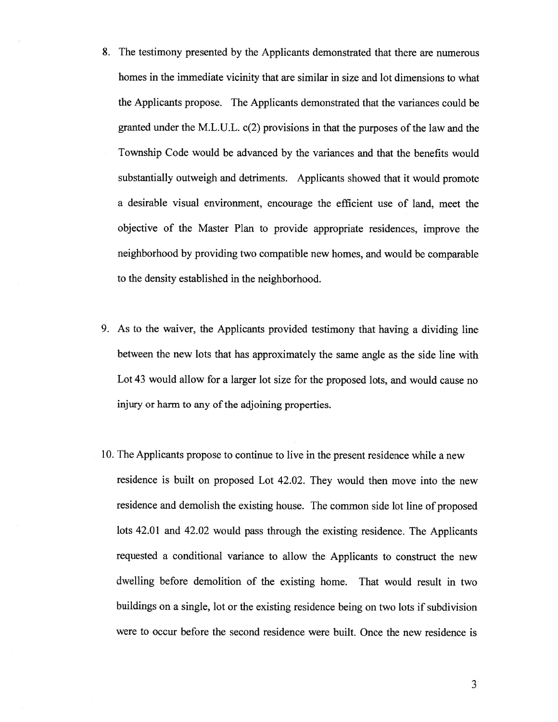- 8. The testimony presented by the Applicants demonstrated that there are numerous homes in the immediate vicinity that are similar in size and lot dimensions to what the Applicants propose. The Applicants demonstrated that the variances could be granted under the M.L.U.L.  $c(2)$  provisions in that the purposes of the law and the Township Code would be advanced by the variances and that the benefits would substantially outweigh and detriments. Applicants showed that it would promote <sup>a</sup> desirable visual environment, encourage the efficient use of land, meet the objective of the Master Plan to provide appropriate residences, improve the neighborhood by providing two compatible new homes, and would be comparable to the density established in the neighborhood.
- 9. As to the waiver, the Applicants provided testimony that having <sup>a</sup> dividing line between the new lots that has approximately the same angle as the side line with Lot 43 would allow for a larger lot size for the proposed lots, and would cause no injury or harm to any of the adjoining properties.
- 10. The Applicants propose to continue to live in the presen<sup>t</sup> residence while <sup>a</sup> new residence is built on proposed Lot 42.02. They would then move into the new residence and demolish the existing house. The common side lot line of propose<sup>d</sup> lots 42.01 and 42.02 would pass through the existing residence. The Applicants requested <sup>a</sup> conditional variance to allow the Applicants to construct the new dwelling before demolition of the existing home. That would result in two buildings on <sup>a</sup> single, lot or the existing residence being on two lots if subdivision were to occur before the second residence were built. Once the new residence is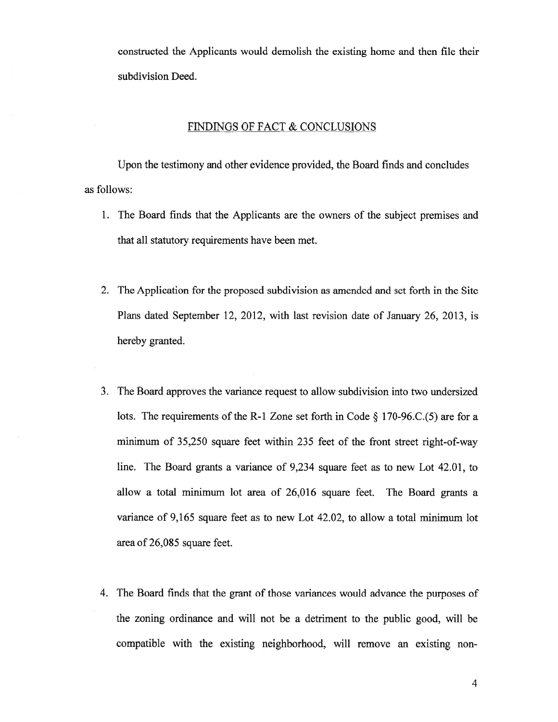constructed the Applicants would demolish the existing home and then file their subdivision Deed.

# FINDiNGS OF FACT & CONCLUSIONS

Upon the testimony and other evidence provided, the Board finds and concludes as follows:

- 1. The Board finds that the Applicants are the owners of the subject premises and that all statutory requirements have been met.
- 2. The Application for the proposed subdivision as amended and set forth in the Site Plans dated September 12, 2012, with last revision date of January 26, 2013, is hereby granted.
- 3. The Board approves the variance reques<sup>t</sup> to allow subdivision into two undersized lots. The requirements of the R-l Zone set forth in Code § 170-96.C.(5) are for <sup>a</sup> minimum of 35,250 square feet within 235 feet of the front street right-of-way line. The Board grants <sup>a</sup> variance of 9,234 square feet as to new Lot 42.01, to allow <sup>a</sup> total minimum lot area of 26,016 square feet. The Board grants <sup>a</sup> variance of 9,165 square feet as to new Lot 42.02, to allow <sup>a</sup> total minimum lot area of 26,085 square feet.
- 4. The Board finds that the gran<sup>t</sup> of those variances would advance the purposes of the zoning ordinance and will not be <sup>a</sup> detriment to the public good, will be compatible with the existing neighborhood, will remove an existing non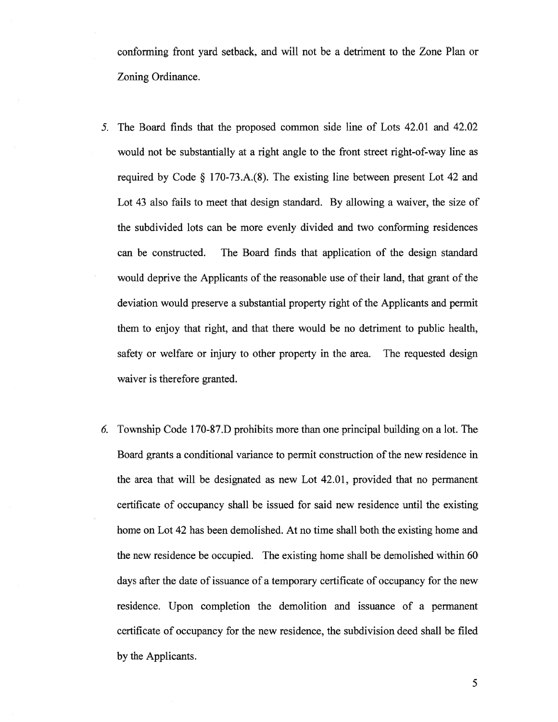conforming front yard setback, and will not be <sup>a</sup> detriment to the Zone Plan or Zoning Ordinance.

- 5. The Board finds that the proposed common side line of Lots 42.01 and 42.02 would not be substantially at <sup>a</sup> right angle to the front Street right-of-way line as required by Code  $\S$  170-73.A. $(8)$ . The existing line between present Lot 42 and Lot 43 also fails to meet that design standard. By allowing <sup>a</sup> waiver, the size of the subdivided lots can be more evenly divided and two conforming residences can be constructed. The Board finds that application of the design standard would deprive the Applicants of the reasonable use of their land, that gran<sup>t</sup> of the deviation would preserve <sup>a</sup> substantial property right of the Applicants and permit them to enjoy that right, and that there would be no detriment to public health, safety or welfare or injury to other property in the area. The requested design waiver is therefore granted.
- 6. Township Code 170-87.D prohibits more than one principal building on <sup>a</sup> lot. The Board grants a conditional variance to permit construction of the new residence in the area that will be designated as new Lot 42.01, provided that no permanen<sup>t</sup> certificate of occupancy shall be issued for said new residence until the existing home on Lot 42 has been demolished. At no time shall both the existing home and the new residence be occupied. The existing home shall be demolished within 60 days after the date of issuance of <sup>a</sup> temporary certificate of occupancy for the new residence. Upon completion the demolition and issuance of <sup>a</sup> permanen<sup>t</sup> certificate of occupancy for the new residence, the subdivision deed shall be filed by the Applicants.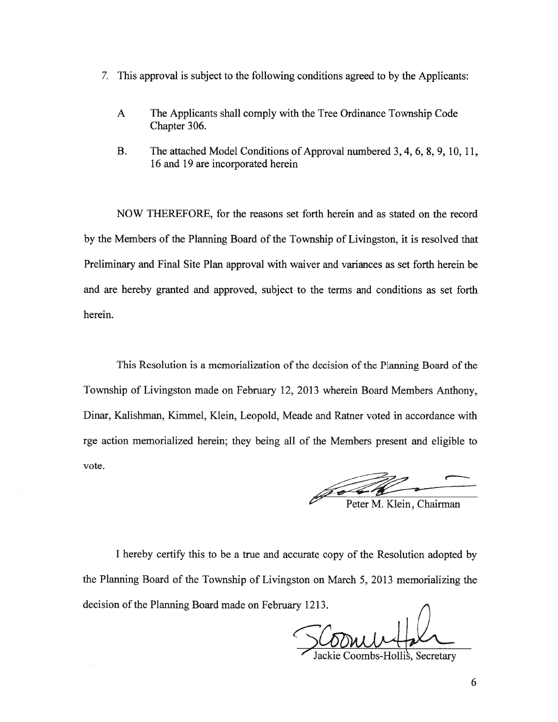- 7. This approval is subject to the following conditions agreed to by the Applicants:
	- A The Applicants shall comply with the Tree Ordinance Township Code Chapter 306.
	- B. The attached Model Conditions of Approval numbered 3, 4, 6, 8, 9, 10, 11, 16 and 19 are incorporated herein

NOW THEREFORE, for the reasons set forth herein and as stated on the record by the Members of the Planning Board of the Township of Livingston, it is resolved that Preliminary and Final Site Plan approval with waiver and variances as set forth herein be and are hereby granted and approved, subject to the terms and conditions as set forth herein.

This Resolution is <sup>a</sup> memorialization of the decision of the Planning Board of the Township of Livingston made on February 12, 2013 wherein Board Members Anthony, Dinar, Kalishman, Kimmel, Klein, Leopold, Meade and Ratner voted in accordance with rge action memorialized herein; they being all of the Members presen<sup>t</sup> and eligible to vote.

Peter M. Klein, Chairman

<sup>I</sup> hereby certify this to be <sup>a</sup> true and accurate copy of the Resolution adopted by the Planning Board of the Township of Livingston on March 5, 2013 memorializing the decision of the Planning Board made on February 1213.

ackie Coombs-Hollis, Secretary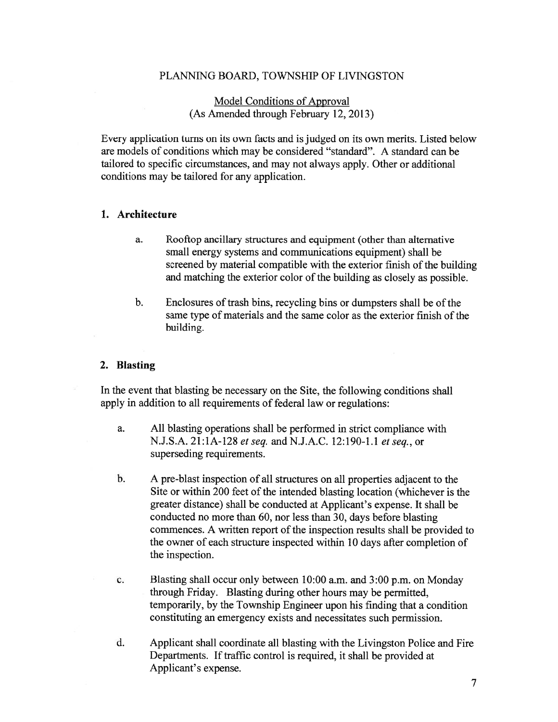# PLANNING BOARD, TOWNSHIP OF LIVINGSTON

# Model Conditions of Approval (As Amended through February 12, 2013)

Every application turns on its own facts and is judged on its own merits. Listed below are models of conditions which may be considered "standard". A standard can be tailored to specific circumstances, and may not always apply. Other or additional conditions may be tailored for any application.

## 1. Architecture

- a. Rooftop ancillary structures and equipment (other than alternative small energy systems and communications equipment) shall be screened by material compatible with the exterior finish of the building and matching the exterior color of the building as closely as possible.
- b. Enclosures of trash bins, recycling bins or dumpsters shall be of the same type of materials and the same color as the exterior finish of the building.

## 2. Blasting

In the event that blasting be necessary on the Site, the following conditions shall apply in addition to all requirements of federal law or regulations:

- a. All blasting operations shall be performed in strict compliance with N.J.S.A. 21:1A-128 et seq. and N.J.A.C. 12:190-1.1 et seq., or superseding requirements.
- b. A pre-blast inspection of all structures on all properties adjacent to the Site or within 200 feet of the intended blasting location (whichever is the greater distance) shall be conducted at Applicant's expense. It shall be conducted no more than 60, nor less than 30, days before blasting commences. A written report of the inspection results shall be provided to the owner of each structure inspected within 10 days after completion of the inspection.
- c. Blasting shall occur only between 10:00 a.m. and 3:00 p.m. on Monday through Friday. Blasting during other hours may be permitted, temporarily, by the Township Engineer upon his finding that <sup>a</sup> condition constituting an emergency exists and necessitates such permission.
- d. Applicant shall coordinate all blasting with the Livingston Police and Fire Departments. If traffic control is required, it shall be provided at Applicant's expense.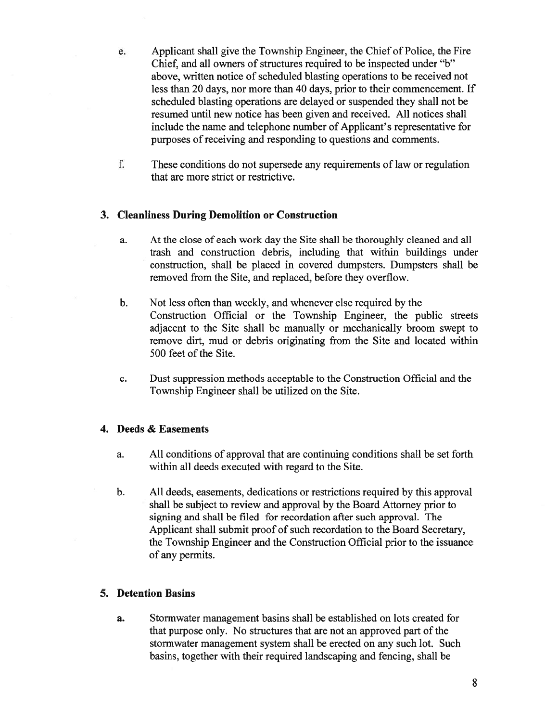- e. Applicant shall give the Township Engineer, the Chief of Police, the Fire Chief, and all owners of structures required to be inspected under "b" above, written notice of scheduled blasting operations to be received not less than 20 days, nor more than 40 days, prior to their commencement. If scheduled blasting operations are delayed or suspended they shall not be resumed until new notice has been given and received. All notices shall include the name and telephone number of Applicant's representative for purposes of receiving and responding to questions and comments.
- f. These conditions do not supersede any requirements of law or regulation that are more strict or restrictive.

# 3. Cleanliness During Demolition or Construction

- a. At the close of each work day the Site shall be thoroughly cleaned and all trash and construction debris, including that within buildings under construction, shall be placed in covered dumpsters. Dumpsters shall be removed from the Site, and replaced, before they overflow.
- b. Not less often than weekly, and whenever else required by the Construction Official or the Township Engineer, the public streets adjacent to the Site shall be manually or mechanically broom swep<sup>t</sup> to remove dirt, mud or debris originating from the Site and located within 500 feet of the Site.
- c. Dust suppression methods acceptable to the Construction Official and the Township Engineer shall be utilized on the Site.

# 4. Deeds & Easements

- a. All conditions of approval that are continuing conditions shall be set forth within all deeds executed with regard to the Site.
- b. All deeds, easements, dedications or restrictions required by this approval shall be subject to review and approval by the Board Attorney prior to signing and shall be filed for recordation after such approval. The Applicant shall submit proof of such recordation to the Board Secretary, the Township Engineer and the Construction Official prior to the issuance of any permits.

## 5. Detention Basins

a. Stormwater managemen<sup>t</sup> basins shall be established on lots created for that purpose only, No structures that are not an approved par<sup>t</sup> of the stormwater managemen<sup>t</sup> system shall be erected on any such lot. Such basins, together with their required landscaping and fencing, shall be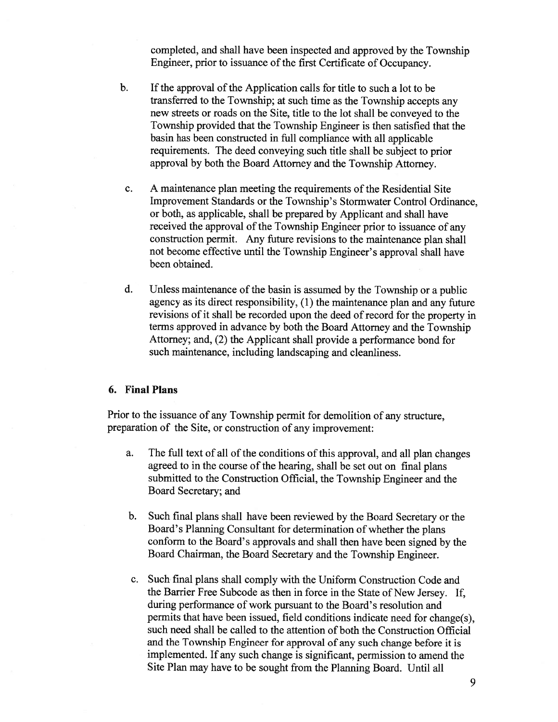completed, and shall have been inspected and approved by the Township Engineer, prior to issuance of the first Certificate of Occupancy.

- b. If the approval of the Application calls for title to such a lot to be transferred to the Township; at such time as the Township accepts any new streets or roads on the Site, title to the lot shall be conveyed to the Township provided that the Township Engineer is then satisfied that the basin has been constructed in full compliance with all applicable requirements. The deed conveying such title shall be subject to prior approval by both the Board Attorney and the Township Attorney.
- c. A maintenance plan meeting the requirements of the Residential Site Improvement Standards or the Township's Stormwater Control Ordinance, or both, as applicable, shall be prepared by Applicant and shall have received the approval of the Township Engineer prior to issuance of any construction permit. Any future revisions to the maintenance <sup>p</sup>lan shall not become effective until the Township Engineer's approval shall have been obtained.
- d. Unless maintenance of the basin is assumed by the Township or a public agency as its direct responsibility, (1) the maintenance <sup>p</sup>lan and any future revisions of it shall be recorded upon the deed of record for the property in terms approved in advance by both the Board Attorney and the Township Attorney; and, (2) the Applicant shall provide <sup>a</sup> performance bond for such maintenance, including landscaping and cleanliness.

# 6. Final Plans

Prior to the issuance of any Township permit for demolition of any structure, preparation of the Site, or construction of any improvement:

- a. The full text of all of the conditions of this approval, and all plan changes agree<sup>d</sup> to in the course of the hearing, shall be set out on final <sup>p</sup>lans submitted to the Construction Official, the Township Engineer and the Board Secretary; and
- b. Such final <sup>p</sup>lans shall have been reviewed by the Board Secretary or the Board's Plarming Consultant for determination of whether the <sup>p</sup>lans conform to the Board's approvals and shall then have been signed by the Board Chairman, the Board Secretary and the Township Engineer.
- c. Such final plans shall comply with the Uniform Construction Code and the Barrier Free Subcode as then in force in the State of New Jersey. If, during performance of work pursuan<sup>t</sup> to the Board's resolution and permits that have been issued, field conditions indicate need for change(s), such need shall be called to the attention of both the Construction Official and the Township Engineer for approva<sup>l</sup> of any such change before it is implemented. If any such change is significant, permission to amend the Site Plan may have to be sought from the Planning Board. Until all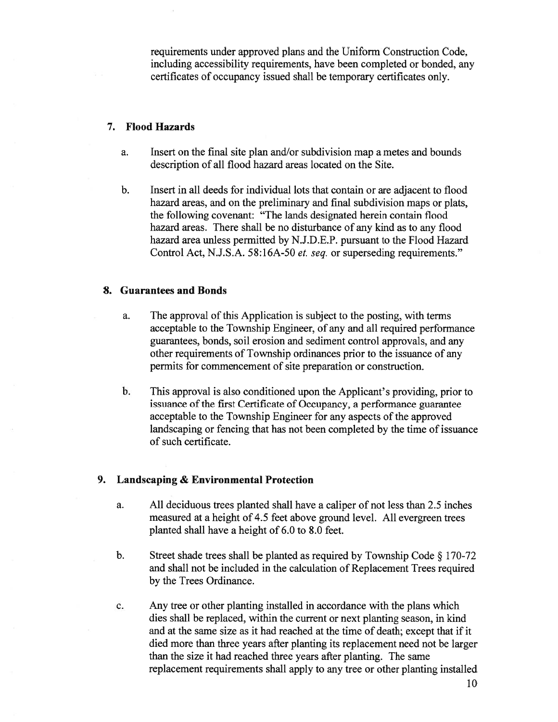requirements under approved plans and the Uniform Construction Code, including accessibility requirements, have been completed or bonded, any certificates of occupancy issued shall be temporary certificates only.

# 7. Flood Hazards

- a. Insert on the final site plan and/or subdivision map <sup>a</sup> metes and bounds description of all flood hazard areas located on the Site.
- b. Insert in all deeds for individual lots that contain or are adjacent to flood hazard areas, and on the preliminary and final subdivision maps or plats, the following covenant: "The lands designated herein contain flood hazard areas. There shall be no disturbance of any kind as to any flood hazard area unless permitted by N.J.D.E.P. pursuan<sup>t</sup> to the Flood Hazard Control Act, N.J.S.A. 58:16A-50 et. seq. or superseding requirements."

# 8. Guarantees and Bonds

- a. The approval of this Application is subject to the posting, with terms acceptable to the Township Engineer, of any and all required performance guarantees, bonds, soil erosion and sediment control approvals, and any other requirements of Township ordinances prior to the issuance of any permits for commencement of site preparation or construction.
- b. This approval is also conditioned upon the Applicant's providing, prior to issuance of the first Certificate of Occupancy, a performance guarantee acceptable to the Township Engineer for any aspects of the approved landscaping or fencing that has not been completed by the time of issuance of such certificate.

# 9. Landscaping & Environmental Protection

- a. All deciduous trees planted shall have <sup>a</sup> caliper of not less than 2.5 inches measured at <sup>a</sup> height of 4.5 feet above ground level. All evergreen trees planted shall have <sup>a</sup> height of 6.0 to 8.0 feet.
- b. Street shade trees shall be <sup>p</sup>lanted as required by Township Code § 170-72 and shall not be included in the calculation of Replacement Trees required by the Trees Ordinance.
- c. Any tree or other planting installed in accordance with the plans which dies shall be replaced, within the current or next planting season, in kind and at the same size as it had reached at the time of death; excep<sup>t</sup> that if it died more than three years after planting its replacement need not be larger than the size it had reached three years after planting. The same replacement requirements shall apply to any tree or other planting installed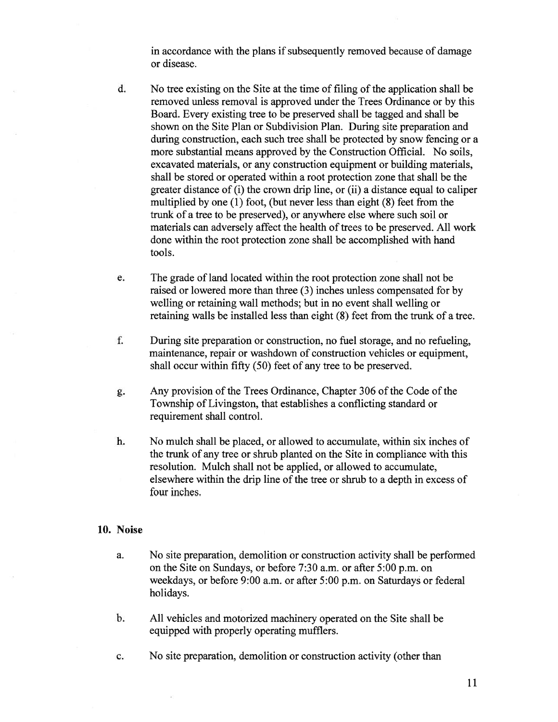in accordance with the plans if subsequently removed because of damage or disease.

- d. No tree existing on the Site at the time of filing of the application shall be removed unless removal is approved under the Trees Ordinance or by this Board. Every existing tree to be preserved shall be tagged and shall be shown on the Site Plan or Subdivision Plan. During site preparation and during construction, each such tree shall be protected by snow fencing or <sup>a</sup> more substantial means approved by the Construction Official. No soils, excavated materials, or any construction equipment or building materials, shall be stored or operated within <sup>a</sup> root protection zone that shall be the greater distance of (i) the crown drip line, or (ii) <sup>a</sup> distance equal to caliper multiplied by one (1) foot, (but never less than eight (8) feet from the trunk of <sup>a</sup> tree to be preserved), or anywhere else where such soil or materials can adversely affect the health of trees to be preserved. All work done within the root protection zone shall be accomplished with hand tools.
- e. The grade of land located within the root protection zone shall not be raised or lowered more than three (3) inches unless compensated for by welling or retaining wall methods; but in no event shall welling or retaining walls be installed less than eight (8) feet from the trunk of <sup>a</sup> tree.
- f. During site preparation or construction, no fuel storage, and no refueling, maintenance, repair or washdown of construction vehicles or equipment, shall occur within fifty (50) feet of any tree to be preserved.
- g. Any provision of the Trees Ordinance, Chapter 306 of the Code of the Township of Livingston, that establishes <sup>a</sup> conflicting standard or requirement shall control.
- h. No mulch shall be placed, or allowed to accumulate, within six inches of the trunk of any tree or shrub planted on the Site in compliance with this resolution. Mulch shall not be applied, or allowed to accumulate, elsewhere within the drip line of the tree or shrub to a depth in excess of four inches.

# 10. Noise

- a. No site preparation, demolition or construction activity shall be performed on the Site on Sundays, or before 7:30 a.m. or after 5:00 p.m. on weekdays, or before 9:00 a.m. or after 5:00 p.m. on Saturdays or federal holidays.
- b. All vehicles and motorized machinery operated on the Site shall be equipped with properly operating mufflers.
- c. No site preparation, demolition or construction activity (other than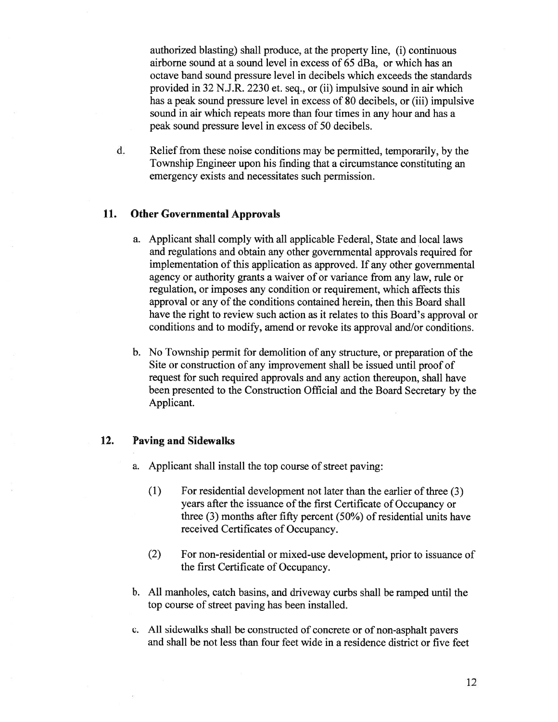authorized blasting) shall produce, at the property line, (i) continuous airborne sound at <sup>a</sup> sound level in excess of 65 dBa, or which has an octave band sound pressure level in decibels which exceeds the standards provided in 32 N.J.R. 2230 et. seq., or (ii) impulsive sound in air which has <sup>a</sup> peak sound pressure level in excess of 80 decibels, or (iii) impulsive sound in air which repeats more than four times in any hour and has <sup>a</sup> peak sound pressure level in excess of 50 decibels.

d. Relief from these noise conditions may be permitted, temporarily, by the Township Engineer upon his finding that <sup>a</sup> circumstance constituting an emergency exists and necessitates such permission.

# 11. Other Governmental Approvals

- a. Applicant shall comply with all applicable Federal, State and local laws and regulations and obtain any other governmental approvals required for implementation of this application as approved. If any other governmental agency or authority grants <sup>a</sup> waiver of or variance from any law, rule or regulation, or imposes any condition or requirement, which affects this approval or any of the conditions contained herein, then this Board shall have the right to review such action as it relates to this Board's approval or conditions and to modify, amend or revoke its approval and/or conditions.
- b. No Township permit for demolition of any structure, or preparation of the Site or construction of any improvement shall be issued until proof of reques<sup>t</sup> for such required approvals and any action thereupon, shall have been presented to the Construction Official and the Board Secretary by the Applicant.

### 12. Paving and Sidewalks

a. Applicant shall install the top course of street paving:

- $(1)$  For residential development not later than the earlier of three  $(3)$ years after the issuance of the first Certificate of Occupancy or three (3) months after fifty percen<sup>t</sup> (50%) of residential units have received Certificates of Occupancy.
- (2) For non-residential or mixed-use development, prior to issuance of the first Certificate of Occupancy.
- b. All manholes, catch basins, and driveway curbs shall be ramped until the top course of street paving has been installed.
- c. All sidewalks shall be constructed of concrete or of non-asphalt payers and shall be not less than four feet wide in <sup>a</sup> residence district or five feet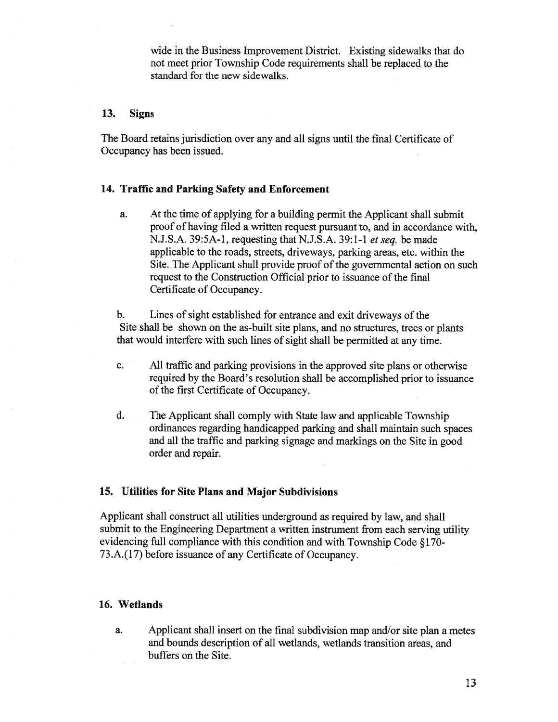wide in the Business Improvement District. Existing sidewalks that do not meet prior Township Code requirements shall be replaced to the standard for the new sidewalks.

### 13. Signs

The Board retains jurisdiction over any and all signs until the final Certificate of Occupancy has been issued.

# 14. Traffic and Parking Safety and Enforcement

a. At the time of applying for <sup>a</sup> building permit the Applicant shall submit proof of having filed <sup>a</sup> written reques<sup>t</sup> pursuan<sup>t</sup> to, and in accordance with, N.J.S.A. 39:5A-l, requesting that N.J.S.A. 39:1-1 et seq. be made applicable to the roads, streets, driveways, parking areas, etc. within the Site. The Applicant shall provide proof of the governmental action on such reques<sup>t</sup> to the Construction Official prior to issuance of the final Certificate of Occupancy.

b. Lines of sight established for entrance and exit driveways of the Site shall be shown on the as-built site <sup>p</sup>lans, and no structures, trees or <sup>p</sup>lants that would interfere with such lines of sight shall be permitted at any time.

- c. All traffic and parking provisions in the approved site plans or otherwise required by the Board's resolution shall be accomplished prior to issuance of the first Certificate of Occupancy.
- d. The Applicant shall comply with State law and applicable Township ordinances regarding handicapped parking and shall maintain such spaces and all the traffic and parking signage and markings on the Site in good order and repair.

### 15. Utilities for Site Plans and Major Subdivisions

Applicant shall construct all utilities underground as required by law, and shall submit to the Engineering Department <sup>a</sup> written instrument from each serving utility evidencing full compliance with this condition and with Township Code § 170- 73.A.(17) before issuance of any Certificate of Occupancy.

#### 16. Wetlands

a. Applicant shall insert on the final subdivision map and/or site <sup>p</sup>lan <sup>a</sup> metes and bounds description of all wetlands, wetlands transition areas, and buffers on the Site.